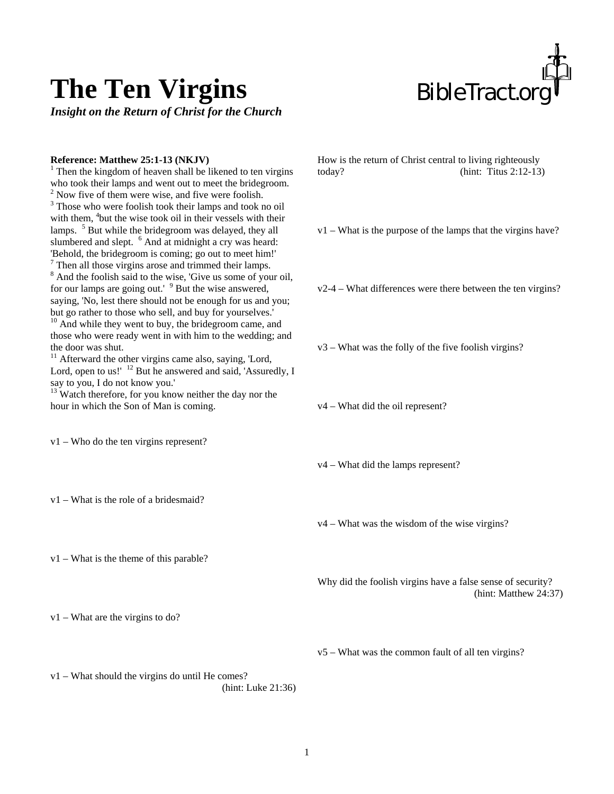

## **The Ten Virgins**

*Insight on the Return of Christ for the Church* 

## **Reference: Matthew 25:1-13 (NKJV)**

 $<sup>1</sup>$  Then the kingdom of heaven shall be likened to ten virgins</sup> who took their lamps and went out to meet the bridegroom.  $2$  Now five of them were wise, and five were foolish. <sup>3</sup> Those who were foolish took their lamps and took no oil with them, <sup>4</sup>but the wise took oil in their vessels with their lamps. <sup>5</sup> But while the bridegroom was delayed, they all slumbered and slept. <sup>6</sup> And at midnight a cry was heard: 'Behold, the bridegroom is coming; go out to meet him!' 7 Then all those virgins arose and trimmed their lamps.

<sup>8</sup> And the foolish said to the wise, 'Give us some of your oil, for our lamps are going out.' <sup>9</sup> But the wise answered, saying, 'No, lest there should not be enough for us and you; but go rather to those who sell, and buy for yourselves.'

 $10$  And while they went to buy, the bridegroom came, and those who were ready went in with him to the wedding; and the door was shut.

 $11$  Afterward the other virgins came also, saying, 'Lord, Lord, open to us!' <sup>12</sup> But he answered and said, 'Assuredly, I say to you, I do not know you.'

<sup>13</sup> Watch therefore, for you know neither the day nor the hour in which the Son of Man is coming.

v1 – Who do the ten virgins represent?

v1 – What is the role of a bridesmaid?

v1 – What is the theme of this parable?

v1 – What are the virgins to do?

How is the return of Christ central to living righteously today? (hint: Titus 2:12-13)

v1 – What is the purpose of the lamps that the virgins have?

v2-4 – What differences were there between the ten virgins?

v3 – What was the folly of the five foolish virgins?

v4 – What did the oil represent?

v4 – What did the lamps represent?

v4 – What was the wisdom of the wise virgins?

Why did the foolish virgins have a false sense of security? (hint: Matthew 24:37)

v5 – What was the common fault of all ten virgins?

v1 – What should the virgins do until He comes? (hint: Luke 21:36)